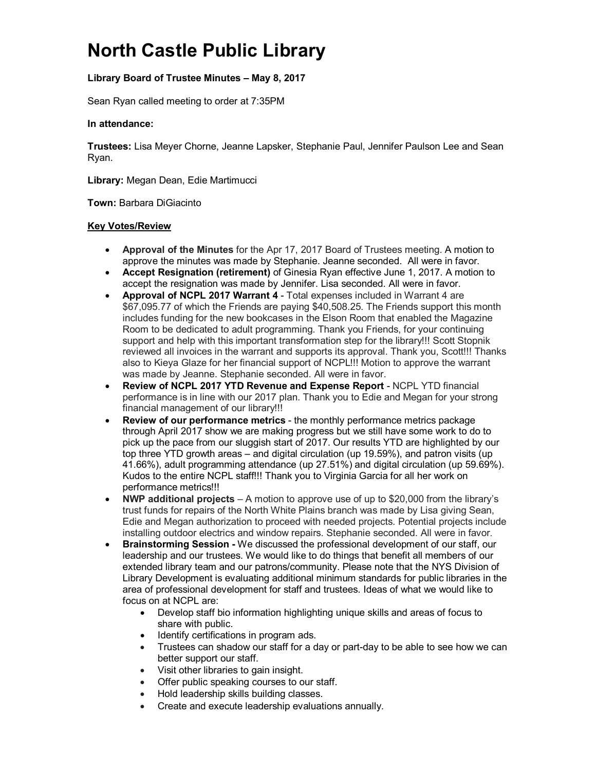# **North Castle Public Library**

## **Library Board of Trustee Minutes – May 8, 2017**

Sean Ryan called meeting to order at 7:35PM

### **In attendance:**

**Trustees:** Lisa Meyer Chorne, Jeanne Lapsker, Stephanie Paul, Jennifer Paulson Lee and Sean Ryan.

**Library:** Megan Dean, Edie Martimucci

**Town:** Barbara DiGiacinto

### **Key Votes/Review**

- **Approval of the Minutes** for the Apr 17, 2017 Board of Trustees meeting. A motion to approve the minutes was made by Stephanie. Jeanne seconded.All were in favor.
- **Accept Resignation (retirement)** of Ginesia Ryan effective June 1, 2017. A motion to accept the resignation was made by Jennifer. Lisa seconded. All were in favor.
- **Approval of NCPL 2017 Warrant 4** Total expenses included in Warrant 4 are \$67,095.77 of which the Friends are paying \$40,508.25. The Friends support this month includes funding for the new bookcases in the Elson Room that enabled the Magazine Room to be dedicated to adult programming. Thank you Friends, for your continuing support and help with this important transformation step for the library!!! Scott Stopnik reviewed all invoices in the warrant and supports its approval. Thank you, Scott!!! Thanks also to Kieya Glaze for her financial support of NCPL!!! Motion to approve the warrant was made by Jeanne. Stephanie seconded. All were in favor.
- **Review of NCPL 2017 YTD Revenue and Expense Report**  NCPL YTD financial performance is in line with our 2017 plan. Thank you to Edie and Megan for your strong financial management of our library!!!
- **Review of our performance metrics** the monthly performance metrics package through April 2017 show we are making progress but we still have some work to do to pick up the pace from our sluggish start of 2017. Our results YTD are highlighted by our top three YTD growth areas – and digital circulation (up 19.59%), and patron visits (up 41.66%), adult programming attendance (up 27.51%) and digital circulation (up 59.69%). Kudos to the entire NCPL staff!!! Thank you to Virginia Garcia for all her work on performance metrics!!!
- **NWP additional projects** A motion to approve use of up to \$20,000 from the library's trust funds for repairs of the North White Plains branch was made by Lisa giving Sean, Edie and Megan authorization to proceed with needed projects. Potential projects include installing outdoor electrics and window repairs. Stephanie seconded. All were in favor.
- **Brainstorming Session -** We discussed the professional development of our staff, our leadership and our trustees. We would like to do things that benefit all members of our extended library team and our patrons/community. Please note that the NYS Division of Library Development is evaluating additional minimum standards for public libraries in the area of professional development for staff and trustees. Ideas of what we would like to focus on at NCPL are:
	- Develop staff bio information highlighting unique skills and areas of focus to share with public.
	- Identify certifications in program ads.
	- Trustees can shadow our staff for a day or part-day to be able to see how we can better support our staff.
	- Visit other libraries to gain insight.
	- Offer public speaking courses to our staff.
	- Hold leadership skills building classes.
	- Create and execute leadership evaluations annually.